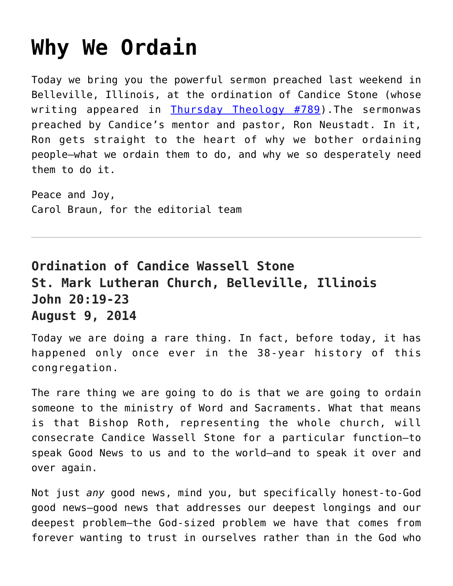## **[Why We Ordain](https://crossings.org/why-we-ordain/)**

Today we bring you the powerful sermon preached last weekend in Belleville, Illinois, at the ordination of Candice Stone (whose writing appeared in [Thursday Theology #789](https://crossings.org/thursday/2013/thur072513.shtml)).The sermonwas preached by Candice's mentor and pastor, Ron Neustadt. In it, Ron gets straight to the heart of why we bother ordaining people—what we ordain them to do, and why we so desperately need them to do it.

Peace and Joy, Carol Braun, for the editorial team

## **Ordination of Candice Wassell Stone St. Mark Lutheran Church, Belleville, Illinois John 20:19-23 August 9, 2014**

Today we are doing a rare thing. In fact, before today, it has happened only once ever in the 38-year history of this congregation.

The rare thing we are going to do is that we are going to ordain someone to the ministry of Word and Sacraments. What that means is that Bishop Roth, representing the whole church, will consecrate Candice Wassell Stone for a particular function—to speak Good News to us and to the world—and to speak it over and over again.

Not just *any* good news, mind you, but specifically honest-to-God good news—good news that addresses our deepest longings and our deepest problem—the God-sized problem we have that comes from forever wanting to trust in ourselves rather than in the God who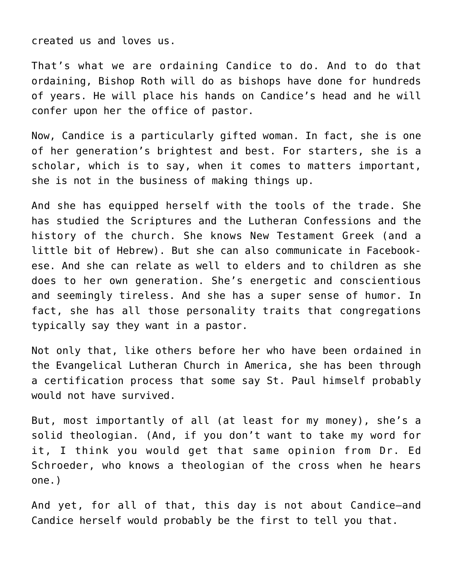created us and loves us.

That's what we are ordaining Candice to do. And to do that ordaining, Bishop Roth will do as bishops have done for hundreds of years. He will place his hands on Candice's head and he will confer upon her the office of pastor.

Now, Candice is a particularly gifted woman. In fact, she is one of her generation's brightest and best. For starters, she is a scholar, which is to say, when it comes to matters important, she is not in the business of making things up.

And she has equipped herself with the tools of the trade. She has studied the Scriptures and the Lutheran Confessions and the history of the church. She knows New Testament Greek (and a little bit of Hebrew). But she can also communicate in Facebookese. And she can relate as well to elders and to children as she does to her own generation. She's energetic and conscientious and seemingly tireless. And she has a super sense of humor. In fact, she has all those personality traits that congregations typically say they want in a pastor.

Not only that, like others before her who have been ordained in the Evangelical Lutheran Church in America, she has been through a certification process that some say St. Paul himself probably would not have survived.

But, most importantly of all (at least for my money), she's a solid theologian. (And, if you don't want to take my word for it, I think you would get that same opinion from Dr. Ed Schroeder, who knows a theologian of the cross when he hears one.)

And yet, for all of that, this day is not about Candice—and Candice herself would probably be the first to tell you that.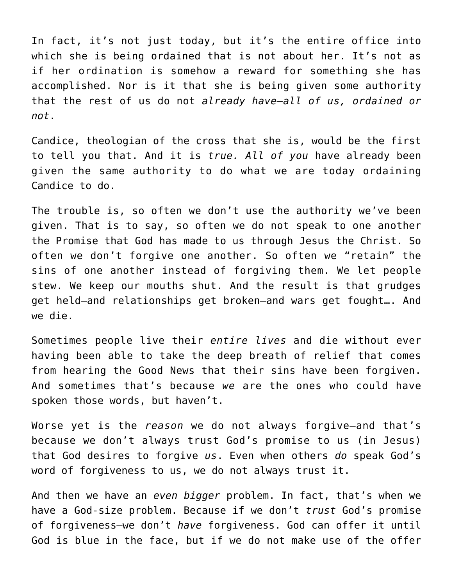In fact, it's not just today, but it's the entire office into which she is being ordained that is not about her. It's not as if her ordination is somehow a reward for something she has accomplished. Nor is it that she is being given some authority that the rest of us do not *already have—all of us, ordained or not*.

Candice, theologian of the cross that she is, would be the first to tell you that. And it is *true. All of you* have already been given the same authority to do what we are today ordaining Candice to do.

The trouble is, so often we don't use the authority we've been given. That is to say, so often we do not speak to one another the Promise that God has made to us through Jesus the Christ. So often we don't forgive one another. So often we "retain" the sins of one another instead of forgiving them. We let people stew. We keep our mouths shut. And the result is that grudges get held—and relationships get broken—and wars get fought…. And we die.

Sometimes people live their *entire lives* and die without ever having been able to take the deep breath of relief that comes from hearing the Good News that their sins have been forgiven. And sometimes that's because *we* are the ones who could have spoken those words, but haven't.

Worse yet is the *reason* we do not always forgive—and that's because we don't always trust God's promise to us (in Jesus) that God desires to forgive *us*. Even when others *do* speak God's word of forgiveness to us, we do not always trust it.

And then we have an *even bigger* problem. In fact, that's when we have a God-size problem. Because if we don't *trust* God's promise of forgiveness—we don't *have* forgiveness. God can offer it until God is blue in the face, but if we do not make use of the offer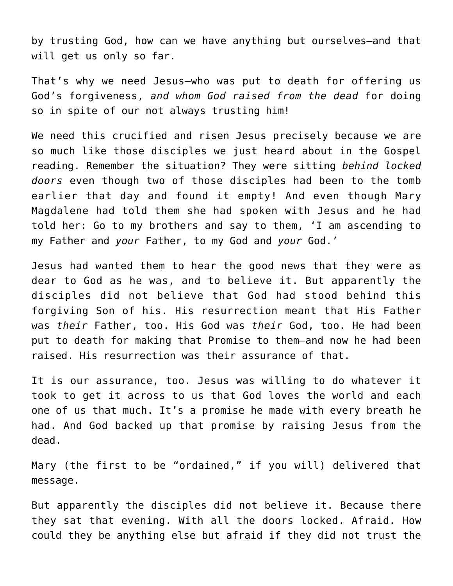by trusting God, how can we have anything but ourselves—and that will get us only so far.

That's why we need Jesus—who was put to death for offering us God's forgiveness, *and whom God raised from the dead* for doing so in spite of our not always trusting him!

We need this crucified and risen Jesus precisely because we are so much like those disciples we just heard about in the Gospel reading. Remember the situation? They were sitting *behind locked doors* even though two of those disciples had been to the tomb earlier that day and found it empty! And even though Mary Magdalene had told them she had spoken with Jesus and he had told her: Go to my brothers and say to them, 'I am ascending to my Father and *your* Father, to my God and *your* God.'

Jesus had wanted them to hear the good news that they were as dear to God as he was, and to believe it. But apparently the disciples did not believe that God had stood behind this forgiving Son of his. His resurrection meant that His Father was *their* Father, too. His God was *their* God, too. He had been put to death for making that Promise to them—and now he had been raised. His resurrection was their assurance of that.

It is our assurance, too. Jesus was willing to do whatever it took to get it across to us that God loves the world and each one of us that much. It's a promise he made with every breath he had. And God backed up that promise by raising Jesus from the dead.

Mary (the first to be "ordained," if you will) delivered that message.

But apparently the disciples did not believe it. Because there they sat that evening. With all the doors locked. Afraid. How could they be anything else but afraid if they did not trust the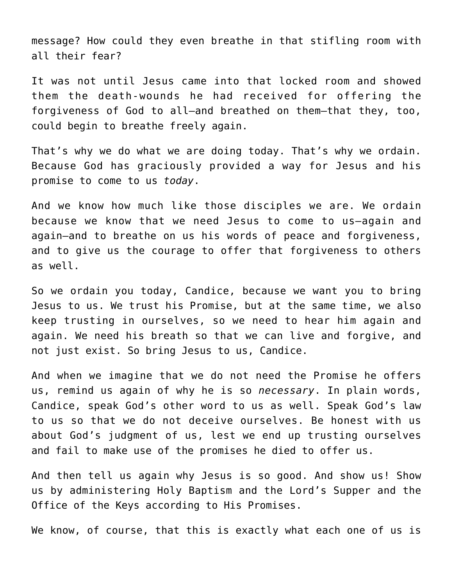message? How could they even breathe in that stifling room with all their fear?

It was not until Jesus came into that locked room and showed them the death-wounds he had received for offering the forgiveness of God to all—and breathed on them—that they, too, could begin to breathe freely again.

That's why we do what we are doing today. That's why we ordain. Because God has graciously provided a way for Jesus and his promise to come to us *today*.

And we know how much like those disciples we are. We ordain because we know that we need Jesus to come to us—again and again—and to breathe on us his words of peace and forgiveness, and to give us the courage to offer that forgiveness to others as well.

So we ordain you today, Candice, because we want you to bring Jesus to us. We trust his Promise, but at the same time, we also keep trusting in ourselves, so we need to hear him again and again. We need his breath so that we can live and forgive, and not just exist. So bring Jesus to us, Candice.

And when we imagine that we do not need the Promise he offers us, remind us again of why he is so *necessary*. In plain words, Candice, speak God's other word to us as well. Speak God's law to us so that we do not deceive ourselves. Be honest with us about God's judgment of us, lest we end up trusting ourselves and fail to make use of the promises he died to offer us.

And then tell us again why Jesus is so good. And show us! Show us by administering Holy Baptism and the Lord's Supper and the Office of the Keys according to His Promises.

We know, of course, that this is exactly what each one of us is